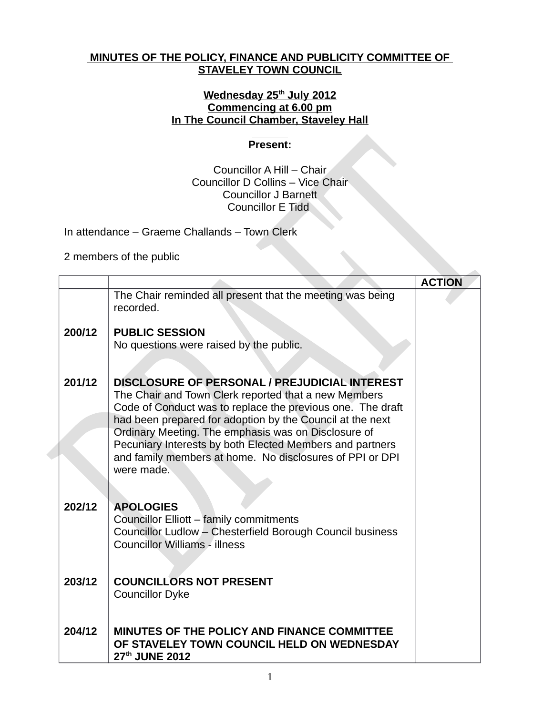## **MINUTES OF THE POLICY, FINANCE AND PUBLICITY COMMITTEE OF STAVELEY TOWN COUNCIL**

## **Wednesday 25th July 2012 Commencing at 6.00 pm In The Council Chamber, Staveley Hall**

## **Present:**

## Councillor A Hill – Chair Councillor D Collins – Vice Chair Councillor J Barnett Councillor E Tidd

In attendance – Graeme Challands – Town Clerk

2 members of the public

|        |                                                                                                                                                                                                                                                                                                                                                                                                                                      | <b>ACTION</b> |
|--------|--------------------------------------------------------------------------------------------------------------------------------------------------------------------------------------------------------------------------------------------------------------------------------------------------------------------------------------------------------------------------------------------------------------------------------------|---------------|
|        | The Chair reminded all present that the meeting was being<br>recorded.                                                                                                                                                                                                                                                                                                                                                               |               |
| 200/12 | <b>PUBLIC SESSION</b>                                                                                                                                                                                                                                                                                                                                                                                                                |               |
|        | No questions were raised by the public.                                                                                                                                                                                                                                                                                                                                                                                              |               |
| 201/12 | <b>DISCLOSURE OF PERSONAL / PREJUDICIAL INTEREST</b><br>The Chair and Town Clerk reported that a new Members<br>Code of Conduct was to replace the previous one. The draft<br>had been prepared for adoption by the Council at the next<br>Ordinary Meeting. The emphasis was on Disclosure of<br>Pecuniary Interests by both Elected Members and partners<br>and family members at home. No disclosures of PPI or DPI<br>were made. |               |
| 202/12 | <b>APOLOGIES</b><br>Councillor Elliott - family commitments<br>Councillor Ludlow - Chesterfield Borough Council business<br><b>Councillor Williams - illness</b>                                                                                                                                                                                                                                                                     |               |
| 203/12 | <b>COUNCILLORS NOT PRESENT</b><br><b>Councillor Dyke</b>                                                                                                                                                                                                                                                                                                                                                                             |               |
| 204/12 | MINUTES OF THE POLICY AND FINANCE COMMITTEE<br>OF STAVELEY TOWN COUNCIL HELD ON WEDNESDAY<br>27th JUNE 2012                                                                                                                                                                                                                                                                                                                          |               |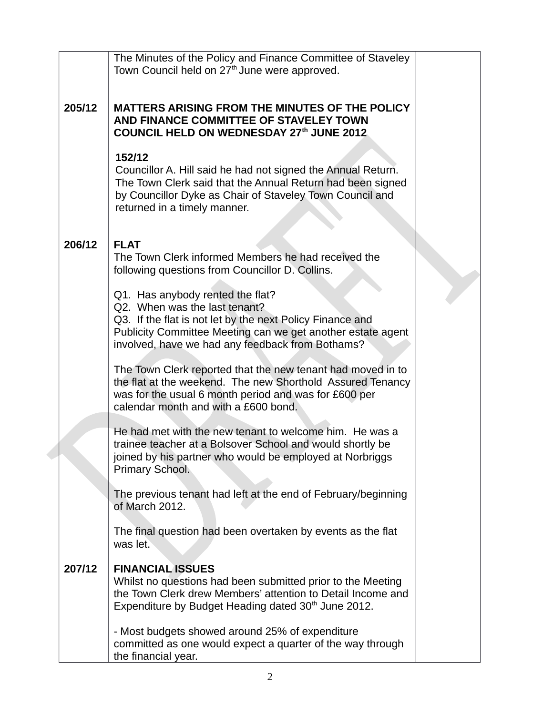|        | The Minutes of the Policy and Finance Committee of Staveley<br>Town Council held on 27 <sup>th</sup> June were approved.                                                                                                                          |  |
|--------|---------------------------------------------------------------------------------------------------------------------------------------------------------------------------------------------------------------------------------------------------|--|
| 205/12 | MATTERS ARISING FROM THE MINUTES OF THE POLICY<br>AND FINANCE COMMITTEE OF STAVELEY TOWN<br>COUNCIL HELD ON WEDNESDAY 27th JUNE 2012                                                                                                              |  |
|        | 152/12<br>Councillor A. Hill said he had not signed the Annual Return.<br>The Town Clerk said that the Annual Return had been signed<br>by Councillor Dyke as Chair of Staveley Town Council and<br>returned in a timely manner.                  |  |
| 206/12 | <b>FLAT</b><br>The Town Clerk informed Members he had received the<br>following questions from Councillor D. Collins.                                                                                                                             |  |
|        | Q1. Has anybody rented the flat?<br>Q2. When was the last tenant?<br>Q3. If the flat is not let by the next Policy Finance and<br>Publicity Committee Meeting can we get another estate agent<br>involved, have we had any feedback from Bothams? |  |
|        | The Town Clerk reported that the new tenant had moved in to<br>the flat at the weekend. The new Shorthold Assured Tenancy<br>was for the usual 6 month period and was for £600 per<br>calendar month and with a £600 bond.                        |  |
|        | He had met with the new tenant to welcome him. He was a<br>trainee teacher at a Bolsover School and would shortly be<br>joined by his partner who would be employed at Norbriggs<br>Primary School.                                               |  |
|        | The previous tenant had left at the end of February/beginning<br>of March 2012.                                                                                                                                                                   |  |
|        | The final question had been overtaken by events as the flat<br>was let.                                                                                                                                                                           |  |
| 207/12 | <b>FINANCIAL ISSUES</b><br>Whilst no questions had been submitted prior to the Meeting<br>the Town Clerk drew Members' attention to Detail Income and<br>Expenditure by Budget Heading dated 30 <sup>th</sup> June 2012.                          |  |
|        | - Most budgets showed around 25% of expenditure<br>committed as one would expect a quarter of the way through<br>the financial year.                                                                                                              |  |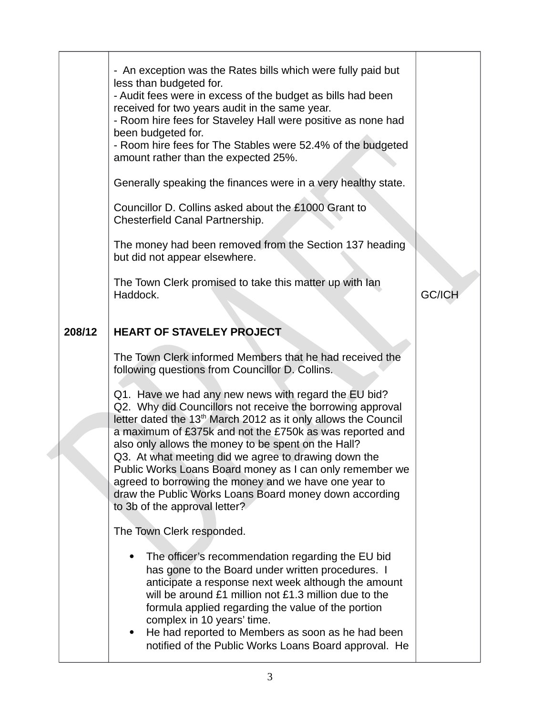|        | - An exception was the Rates bills which were fully paid but<br>less than budgeted for.<br>- Audit fees were in excess of the budget as bills had been<br>received for two years audit in the same year.<br>- Room hire fees for Staveley Hall were positive as none had<br>been budgeted for.<br>- Room hire fees for The Stables were 52.4% of the budgeted<br>amount rather than the expected 25%.<br>Generally speaking the finances were in a very healthy state.<br>Councillor D. Collins asked about the £1000 Grant to<br>Chesterfield Canal Partnership.<br>The money had been removed from the Section 137 heading<br>but did not appear elsewhere.<br>The Town Clerk promised to take this matter up with lan<br>Haddock. | <b>GC/ICH</b> |
|--------|--------------------------------------------------------------------------------------------------------------------------------------------------------------------------------------------------------------------------------------------------------------------------------------------------------------------------------------------------------------------------------------------------------------------------------------------------------------------------------------------------------------------------------------------------------------------------------------------------------------------------------------------------------------------------------------------------------------------------------------|---------------|
| 208/12 | <b>HEART OF STAVELEY PROJECT</b>                                                                                                                                                                                                                                                                                                                                                                                                                                                                                                                                                                                                                                                                                                     |               |
|        | The Town Clerk informed Members that he had received the<br>following questions from Councillor D. Collins.<br>Q1. Have we had any new news with regard the EU bid?<br>Q2. Why did Councillors not receive the borrowing approval<br>letter dated the 13 <sup>th</sup> March 2012 as it only allows the Council<br>a maximum of £375k and not the £750k as was reported and<br>also only allows the money to be spent on the Hall?<br>Q3. At what meeting did we agree to drawing down the<br>Public Works Loans Board money as I can only remember we<br>agreed to borrowing the money and we have one year to<br>draw the Public Works Loans Board money down according<br>to 3b of the approval letter?                           |               |
|        | The Town Clerk responded.                                                                                                                                                                                                                                                                                                                                                                                                                                                                                                                                                                                                                                                                                                            |               |
|        | The officer's recommendation regarding the EU bid<br>has gone to the Board under written procedures. I<br>anticipate a response next week although the amount<br>will be around £1 million not £1.3 million due to the<br>formula applied regarding the value of the portion<br>complex in 10 years' time.<br>He had reported to Members as soon as he had been<br>٠<br>notified of the Public Works Loans Board approval. He                                                                                                                                                                                                                                                                                                        |               |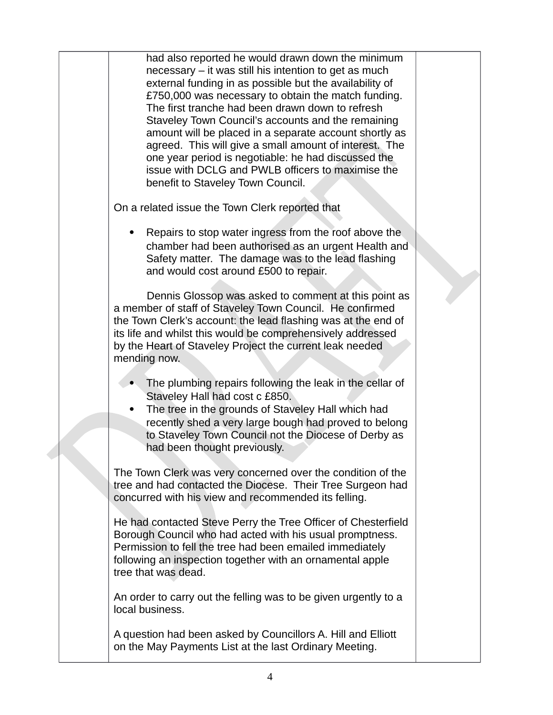had also reported he would drawn down the minimum necessary – it was still his intention to get as much external funding in as possible but the availability of £750,000 was necessary to obtain the match funding. The first tranche had been drawn down to refresh Staveley Town Council's accounts and the remaining amount will be placed in a separate account shortly as agreed. This will give a small amount of interest. The one year period is negotiable: he had discussed the issue with DCLG and PWLB officers to maximise the benefit to Staveley Town Council. On a related issue the Town Clerk reported that Repairs to stop water ingress from the roof above the chamber had been authorised as an urgent Health and Safety matter. The damage was to the lead flashing and would cost around £500 to repair. Dennis Glossop was asked to comment at this point as a member of staff of Staveley Town Council. He confirmed the Town Clerk's account: the lead flashing was at the end of its life and whilst this would be comprehensively addressed by the Heart of Staveley Project the current leak needed mending now. • The plumbing repairs following the leak in the cellar of Staveley Hall had cost c £850. The tree in the grounds of Staveley Hall which had recently shed a very large bough had proved to belong to Staveley Town Council not the Diocese of Derby as had been thought previously. The Town Clerk was very concerned over the condition of the tree and had contacted the Diocese. Their Tree Surgeon had concurred with his view and recommended its felling. He had contacted Steve Perry the Tree Officer of Chesterfield Borough Council who had acted with his usual promptness. Permission to fell the tree had been emailed immediately following an inspection together with an ornamental apple tree that was dead. An order to carry out the felling was to be given urgently to a local business. A question had been asked by Councillors A. Hill and Elliott on the May Payments List at the last Ordinary Meeting.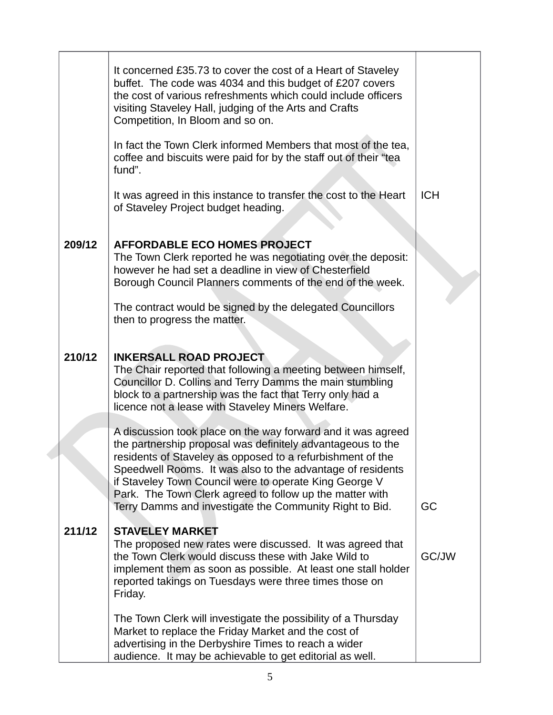|        | It concerned £35.73 to cover the cost of a Heart of Staveley<br>buffet. The code was 4034 and this budget of £207 covers<br>the cost of various refreshments which could include officers<br>visiting Staveley Hall, judging of the Arts and Crafts<br>Competition, In Bloom and so on.                                                                                                                                                  |            |
|--------|------------------------------------------------------------------------------------------------------------------------------------------------------------------------------------------------------------------------------------------------------------------------------------------------------------------------------------------------------------------------------------------------------------------------------------------|------------|
|        | In fact the Town Clerk informed Members that most of the tea,<br>coffee and biscuits were paid for by the staff out of their "tea<br>fund".                                                                                                                                                                                                                                                                                              |            |
|        | It was agreed in this instance to transfer the cost to the Heart<br>of Staveley Project budget heading.                                                                                                                                                                                                                                                                                                                                  | <b>ICH</b> |
| 209/12 | <b>AFFORDABLE ECO HOMES PROJECT</b><br>The Town Clerk reported he was negotiating over the deposit:<br>however he had set a deadline in view of Chesterfield<br>Borough Council Planners comments of the end of the week.                                                                                                                                                                                                                |            |
|        | The contract would be signed by the delegated Councillors<br>then to progress the matter.                                                                                                                                                                                                                                                                                                                                                |            |
| 210/12 | <b>INKERSALL ROAD PROJECT</b><br>The Chair reported that following a meeting between himself,<br>Councillor D. Collins and Terry Damms the main stumbling<br>block to a partnership was the fact that Terry only had a<br>licence not a lease with Staveley Miners Welfare.                                                                                                                                                              |            |
|        | A discussion took place on the way forward and it was agreed<br>the partnership proposal was definitely advantageous to the<br>residents of Staveley as opposed to a refurbishment of the<br>Speedwell Rooms. It was also to the advantage of residents<br>if Staveley Town Council were to operate King George V<br>Park. The Town Clerk agreed to follow up the matter with<br>Terry Damms and investigate the Community Right to Bid. | GC         |
| 211/12 | <b>STAVELEY MARKET</b><br>The proposed new rates were discussed. It was agreed that<br>the Town Clerk would discuss these with Jake Wild to<br>implement them as soon as possible. At least one stall holder<br>reported takings on Tuesdays were three times those on<br>Friday.                                                                                                                                                        | GC/JW      |
|        | The Town Clerk will investigate the possibility of a Thursday<br>Market to replace the Friday Market and the cost of<br>advertising in the Derbyshire Times to reach a wider<br>audience. It may be achievable to get editorial as well.                                                                                                                                                                                                 |            |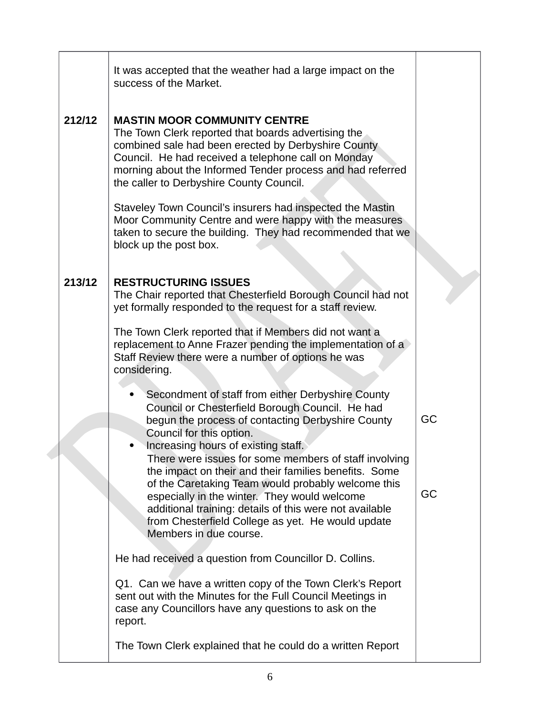|        | It was accepted that the weather had a large impact on the<br>success of the Market.                                                                                                                                                                                                                                                                                                                                                                 |          |
|--------|------------------------------------------------------------------------------------------------------------------------------------------------------------------------------------------------------------------------------------------------------------------------------------------------------------------------------------------------------------------------------------------------------------------------------------------------------|----------|
| 212/12 | <b>MASTIN MOOR COMMUNITY CENTRE</b><br>The Town Clerk reported that boards advertising the<br>combined sale had been erected by Derbyshire County<br>Council. He had received a telephone call on Monday<br>morning about the Informed Tender process and had referred<br>the caller to Derbyshire County Council.                                                                                                                                   |          |
|        | Staveley Town Council's insurers had inspected the Mastin<br>Moor Community Centre and were happy with the measures<br>taken to secure the building. They had recommended that we<br>block up the post box.                                                                                                                                                                                                                                          |          |
| 213/12 | <b>RESTRUCTURING ISSUES</b><br>The Chair reported that Chesterfield Borough Council had not<br>yet formally responded to the request for a staff review.                                                                                                                                                                                                                                                                                             |          |
|        | The Town Clerk reported that if Members did not want a<br>replacement to Anne Frazer pending the implementation of a<br>Staff Review there were a number of options he was<br>considering.                                                                                                                                                                                                                                                           |          |
|        | Secondment of staff from either Derbyshire County<br>Council or Chesterfield Borough Council. He had<br>begun the process of contacting Derbyshire County<br>Council for this option.<br>Increasing hours of existing staff.<br>There were issues for some members of staff involving<br>the impact on their and their families benefits. Some<br>of the Caretaking Team would probably welcome this<br>especially in the winter. They would welcome | GC<br>GC |
|        | additional training: details of this were not available<br>from Chesterfield College as yet. He would update<br>Members in due course.                                                                                                                                                                                                                                                                                                               |          |
|        | He had received a question from Councillor D. Collins.                                                                                                                                                                                                                                                                                                                                                                                               |          |
|        | Q1. Can we have a written copy of the Town Clerk's Report<br>sent out with the Minutes for the Full Council Meetings in<br>case any Councillors have any questions to ask on the<br>report.                                                                                                                                                                                                                                                          |          |
|        | The Town Clerk explained that he could do a written Report                                                                                                                                                                                                                                                                                                                                                                                           |          |